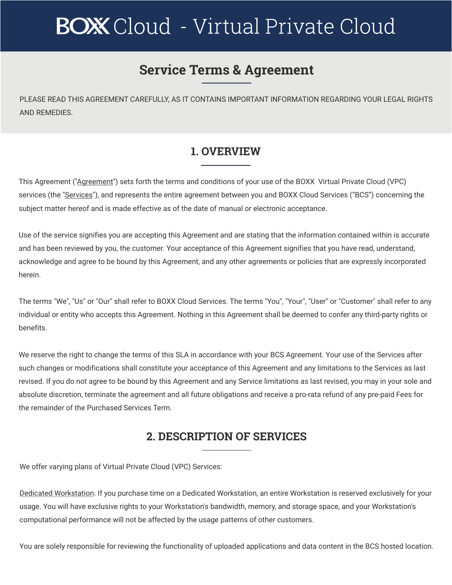# **BOX** Cloud - Virtual Private Cloud

# **Service Terms & Agreement**

PLEASE READ THIS AGREEMENT CAREFULLY, AS IT CONTAINS IMPORTANT INFORMATION REGARDING YOUR LEGAL RIGHTS AND REMEDIES.

# **1. OVERVIEW**

This Agreement ("Agreement") sets forth the terms and conditions of your use of the BOXX Virtual Private Cloud (VPC) services (the "Services"), and represents the entire agreement between you and BOXX Cloud Services ("BCS") concerning the subject matter hereof and is made effective as of the date of manual or electronic acceptance.

Use of the service signifies you are accepting this Agreement and are stating that the information contained within is accurate and has been reviewed by you, the customer. Your acceptance of this Agreement signifies that you have read, understand, acknowledge and agree to be bound by this Agreement, and any other agreements or policies that are expressly incorporated herein.

The terms "We", "Us" or "Our" shall refer to BOXX Cloud Services. The terms "You", "Your", "User" or "Customer" shall refer to any individual or entity who accepts this Agreement. Nothing in this Agreement shall be deemed to confer any third-party rights or benefits.

We reserve the right to change the terms of this SLA in accordance with your BCS Agreement. Your use of the Services after such changes or modifications shall constitute your acceptance of this Agreement and any limitations to the Services as last revised. If you do not agree to be bound by this Agreement and any Service limitations as last revised, you may in your sole and absolute discretion, terminate the agreement and all future obligations and receive a pro-rata refund of any pre-paid Fees for the remainder of the Purchased Services Term.

# **2. DESCRIPTION OF SERVICES**

We offer varying plans of Virtual Private Cloud (VPC) Services:

Dedicated Workstation. If you purchase time on a Dedicated Workstation, an entire Workstation is reserved exclusively for your usage. You will have exclusive rights to your Workstation's bandwidth, memory, and storage space, and your Workstation's computational performance will not be affected by the usage patterns of other customers.

You are solely responsible for reviewing the functionality of uploaded applications and data content in the BCS hosted location.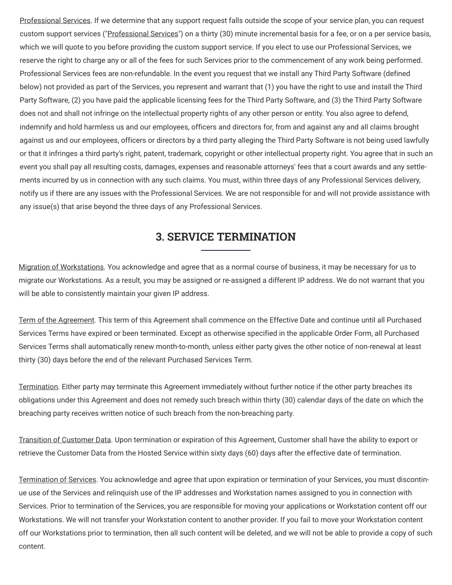Professional Services. If we determine that any support request falls outside the scope of your service plan, you can request custom support services ("Professional Services") on a thirty (30) minute incremental basis for a fee, or on a per service basis, which we will quote to you before providing the custom support service. If you elect to use our Professional Services, we reserve the right to charge any or all of the fees for such Services prior to the commencement of any work being performed. Professional Services fees are non-refundable. In the event you request that we install any Third Party Software (defined below) not provided as part of the Services, you represent and warrant that (1) you have the right to use and install the Third Party Software, (2) you have paid the applicable licensing fees for the Third Party Software, and (3) the Third Party Software does not and shall not infringe on the intellectual property rights of any other person or entity. You also agree to defend, indemnify and hold harmless us and our employees, officers and directors for, from and against any and all claims brought against us and our employees, officers or directors by a third party alleging the Third Party Software is not being used lawfully or that it infringes a third party's right, patent, trademark, copyright or other intellectual property right. You agree that in such an event you shall pay all resulting costs, damages, expenses and reasonable attorneys' fees that a court awards and any settlements incurred by us in connection with any such claims. You must, within three days of any Professional Services delivery, notify us if there are any issues with the Professional Services. We are not responsible for and will not provide assistance with any issue(s) that arise beyond the three days of any Professional Services.

#### **3. SERVICE TERMINATION**

Migration of Workstations. You acknowledge and agree that as a normal course of business, it may be necessary for us to migrate our Workstations. As a result, you may be assigned or re-assigned a different IP address. We do not warrant that you will be able to consistently maintain your given IP address.

Term of the Agreement. This term of this Agreement shall commence on the Effective Date and continue until all Purchased Services Terms have expired or been terminated. Except as otherwise specified in the applicable Order Form, all Purchased Services Terms shall automatically renew month-to-month, unless either party gives the other notice of non-renewal at least thirty (30) days before the end of the relevant Purchased Services Term.

Termination. Either party may terminate this Agreement immediately without further notice if the other party breaches its obligations under this Agreement and does not remedy such breach within thirty (30) calendar days of the date on which the breaching party receives written notice of such breach from the non-breaching party.

Transition of Customer Data. Upon termination or expiration of this Agreement, Customer shall have the ability to export or retrieve the Customer Data from the Hosted Service within sixty days (60) days after the effective date of termination.

Termination of Services. You acknowledge and agree that upon expiration or termination of your Services, you must discontinue use of the Services and relinquish use of the IP addresses and Workstation names assigned to you in connection with Services. Prior to termination of the Services, you are responsible for moving your applications or Workstation content off our Workstations. We will not transfer your Workstation content to another provider. If you fail to move your Workstation content off our Workstations prior to termination, then all such content will be deleted, and we will not be able to provide a copy of such content.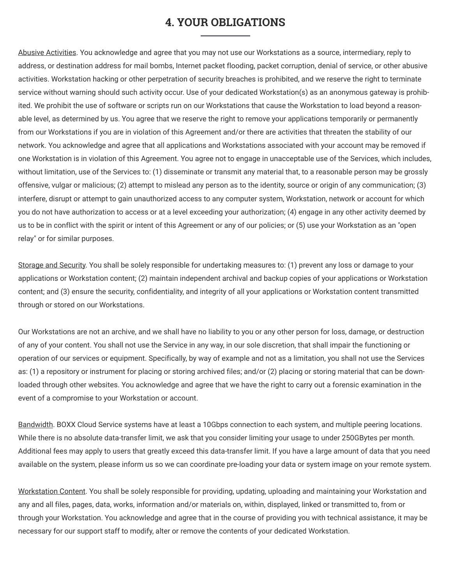#### **4. YOUR OBLIGATIONS**

Abusive Activities. You acknowledge and agree that you may not use our Workstations as a source, intermediary, reply to address, or destination address for mail bombs, Internet packet flooding, packet corruption, denial of service, or other abusive activities. Workstation hacking or other perpetration of security breaches is prohibited, and we reserve the right to terminate service without warning should such activity occur. Use of your dedicated Workstation(s) as an anonymous gateway is prohibited. We prohibit the use of software or scripts run on our Workstations that cause the Workstation to load beyond a reasonable level, as determined by us. You agree that we reserve the right to remove your applications temporarily or permanently from our Workstations if you are in violation of this Agreement and/or there are activities that threaten the stability of our network. You acknowledge and agree that all applications and Workstations associated with your account may be removed if one Workstation is in violation of this Agreement. You agree not to engage in unacceptable use of the Services, which includes, without limitation, use of the Services to: (1) disseminate or transmit any material that, to a reasonable person may be grossly offensive, vulgar or malicious; (2) attempt to mislead any person as to the identity, source or origin of any communication; (3) interfere, disrupt or attempt to gain unauthorized access to any computer system, Workstation, network or account for which you do not have authorization to access or at a level exceeding your authorization; (4) engage in any other activity deemed by us to be in conflict with the spirit or intent of this Agreement or any of our policies; or (5) use your Workstation as an "open relay" or for similar purposes.

Storage and Security. You shall be solely responsible for undertaking measures to: (1) prevent any loss or damage to your applications or Workstation content; (2) maintain independent archival and backup copies of your applications or Workstation content; and (3) ensure the security, confidentiality, and integrity of all your applications or Workstation content transmitted through or stored on our Workstations.

Our Workstations are not an archive, and we shall have no liability to you or any other person for loss, damage, or destruction of any of your content. You shall not use the Service in any way, in our sole discretion, that shall impair the functioning or operation of our services or equipment. Specifically, by way of example and not as a limitation, you shall not use the Services as: (1) a repository or instrument for placing or storing archived files; and/or (2) placing or storing material that can be downloaded through other websites. You acknowledge and agree that we have the right to carry out a forensic examination in the event of a compromise to your Workstation or account.

Bandwidth. BOXX Cloud Service systems have at least a 10Gbps connection to each system, and multiple peering locations. While there is no absolute data-transfer limit, we ask that you consider limiting your usage to under 250GBytes per month. Additional fees may apply to users that greatly exceed this data-transfer limit. If you have a large amount of data that you need available on the system, please inform us so we can coordinate pre-loading your data or system image on your remote system.

Workstation Content. You shall be solely responsible for providing, updating, uploading and maintaining your Workstation and any and all files, pages, data, works, information and/or materials on, within, displayed, linked or transmitted to, from or through your Workstation. You acknowledge and agree that in the course of providing you with technical assistance, it may be necessary for our support staff to modify, alter or remove the contents of your dedicated Workstation.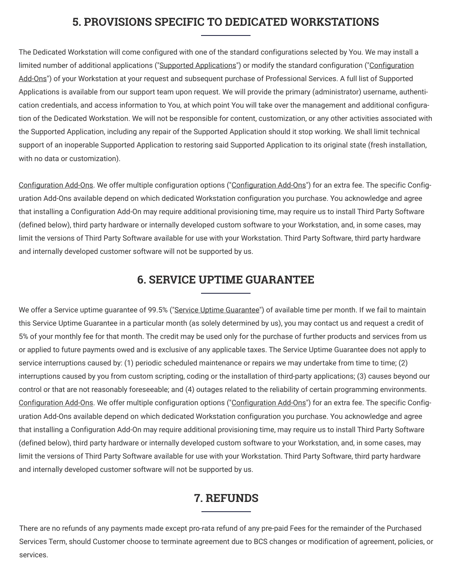# **5. PROVISIONS SPECIFIC TO DEDICATED WORKSTATIONS**

The Dedicated Workstation will come configured with one of the standard configurations selected by You. We may install a limited number of additional applications ("Supported Applications") or modify the standard configuration ("Configuration Add-Ons") of your Workstation at your request and subsequent purchase of Professional Services. A full list of Supported Applications is available from our support team upon request. We will provide the primary (administrator) username, authentication credentials, and access information to You, at which point You will take over the management and additional configuration of the Dedicated Workstation. We will not be responsible for content, customization, or any other activities associated with the Supported Application, including any repair of the Supported Application should it stop working. We shall limit technical support of an inoperable Supported Application to restoring said Supported Application to its original state (fresh installation, with no data or customization).

Configuration Add-Ons. We offer multiple configuration options ("Configuration Add-Ons") for an extra fee. The specific Configuration Add-Ons available depend on which dedicated Workstation configuration you purchase. You acknowledge and agree that installing a Configuration Add-On may require additional provisioning time, may require us to install Third Party Software (defined below), third party hardware or internally developed custom software to your Workstation, and, in some cases, may limit the versions of Third Party Software available for use with your Workstation. Third Party Software, third party hardware and internally developed customer software will not be supported by us.

#### **6. SERVICE UPTIME GUARANTEE**

We offer a Service uptime guarantee of 99.5% ("Service Uptime Guarantee") of available time per month. If we fail to maintain this Service Uptime Guarantee in a particular month (as solely determined by us), you may contact us and request a credit of 5% of your monthly fee for that month. The credit may be used only for the purchase of further products and services from us or applied to future payments owed and is exclusive of any applicable taxes. The Service Uptime Guarantee does not apply to service interruptions caused by: (1) periodic scheduled maintenance or repairs we may undertake from time to time; (2) interruptions caused by you from custom scripting, coding or the installation of third-party applications; (3) causes beyond our control or that are not reasonably foreseeable; and (4) outages related to the reliability of certain programming environments. Configuration Add-Ons. We offer multiple configuration options ("Configuration Add-Ons") for an extra fee. The specific Configuration Add-Ons available depend on which dedicated Workstation configuration you purchase. You acknowledge and agree that installing a Configuration Add-On may require additional provisioning time, may require us to install Third Party Software (defined below), third party hardware or internally developed custom software to your Workstation, and, in some cases, may limit the versions of Third Party Software available for use with your Workstation. Third Party Software, third party hardware and internally developed customer software will not be supported by us.

#### **7. REFUNDS**

There are no refunds of any payments made except pro-rata refund of any pre-paid Fees for the remainder of the Purchased Services Term, should Customer choose to terminate agreement due to BCS changes or modification of agreement, policies, or services.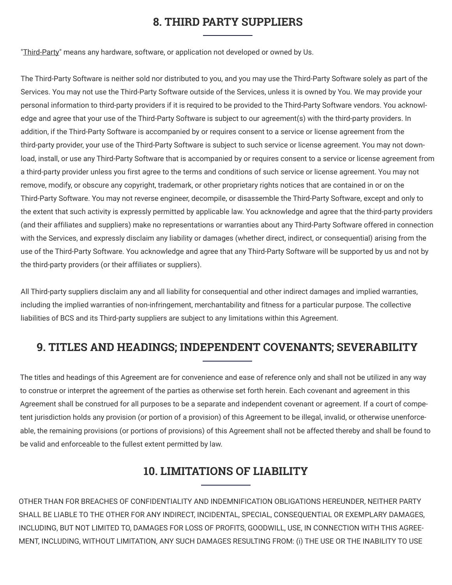### **8. THIRD PARTY SUPPLIERS**

"Third-Party" means any hardware, software, or application not developed or owned by Us.

The Third-Party Software is neither sold nor distributed to you, and you may use the Third-Party Software solely as part of the Services. You may not use the Third-Party Software outside of the Services, unless it is owned by You. We may provide your personal information to third-party providers if it is required to be provided to the Third-Party Software vendors. You acknowledge and agree that your use of the Third-Party Software is subject to our agreement(s) with the third-party providers. In addition, if the Third-Party Software is accompanied by or requires consent to a service or license agreement from the third-party provider, your use of the Third-Party Software is subject to such service or license agreement. You may not download, install, or use any Third-Party Software that is accompanied by or requires consent to a service or license agreement from a third-party provider unless you first agree to the terms and conditions of such service or license agreement. You may not remove, modify, or obscure any copyright, trademark, or other proprietary rights notices that are contained in or on the Third-Party Software. You may not reverse engineer, decompile, or disassemble the Third-Party Software, except and only to the extent that such activity is expressly permitted by applicable law. You acknowledge and agree that the third-party providers (and their affiliates and suppliers) make no representations or warranties about any Third-Party Software offered in connection with the Services, and expressly disclaim any liability or damages (whether direct, indirect, or consequential) arising from the use of the Third-Party Software. You acknowledge and agree that any Third-Party Software will be supported by us and not by the third-party providers (or their affiliates or suppliers).

All Third-party suppliers disclaim any and all liability for consequential and other indirect damages and implied warranties, including the implied warranties of non-infringement, merchantability and fitness for a particular purpose. The collective liabilities of BCS and its Third-party suppliers are subject to any limitations within this Agreement.

# **9. TITLES AND HEADINGS; INDEPENDENT COVENANTS; SEVERABILITY**

The titles and headings of this Agreement are for convenience and ease of reference only and shall not be utilized in any way to construe or interpret the agreement of the parties as otherwise set forth herein. Each covenant and agreement in this Agreement shall be construed for all purposes to be a separate and independent covenant or agreement. If a court of competent jurisdiction holds any provision (or portion of a provision) of this Agreement to be illegal, invalid, or otherwise unenforceable, the remaining provisions (or portions of provisions) of this Agreement shall not be affected thereby and shall be found to be valid and enforceable to the fullest extent permitted by law.

# **10. LIMITATIONS OF LIABILITY**

OTHER THAN FOR BREACHES OF CONFIDENTIALITY AND INDEMNIFICATION OBLIGATIONS HEREUNDER, NEITHER PARTY SHALL BE LIABLE TO THE OTHER FOR ANY INDIRECT, INCIDENTAL, SPECIAL, CONSEQUENTIAL OR EXEMPLARY DAMAGES, INCLUDING, BUT NOT LIMITED TO, DAMAGES FOR LOSS OF PROFITS, GOODWILL, USE, IN CONNECTION WITH THIS AGREE-MENT, INCLUDING, WITHOUT LIMITATION, ANY SUCH DAMAGES RESULTING FROM: (i) THE USE OR THE INABILITY TO USE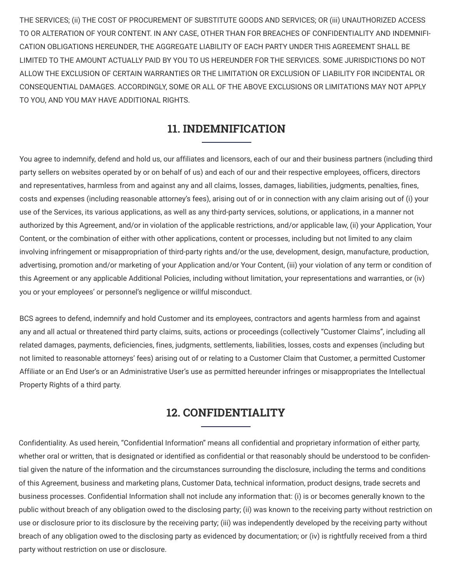THE SERVICES; (ii) THE COST OF PROCUREMENT OF SUBSTITUTE GOODS AND SERVICES; OR (iii) UNAUTHORIZED ACCESS TO OR ALTERATION OF YOUR CONTENT. IN ANY CASE, OTHER THAN FOR BREACHES OF CONFIDENTIALITY AND INDEMNIFI-CATION OBLIGATIONS HEREUNDER, THE AGGREGATE LIABILITY OF EACH PARTY UNDER THIS AGREEMENT SHALL BE LIMITED TO THE AMOUNT ACTUALLY PAID BY YOU TO US HEREUNDER FOR THE SERVICES. SOME JURISDICTIONS DO NOT ALLOW THE EXCLUSION OF CERTAIN WARRANTIES OR THE LIMITATION OR EXCLUSION OF LIABILITY FOR INCIDENTAL OR CONSEQUENTIAL DAMAGES. ACCORDINGLY, SOME OR ALL OF THE ABOVE EXCLUSIONS OR LIMITATIONS MAY NOT APPLY TO YOU, AND YOU MAY HAVE ADDITIONAL RIGHTS.

# **11. INDEMNIFICATION**

You agree to indemnify, defend and hold us, our affiliates and licensors, each of our and their business partners (including third party sellers on websites operated by or on behalf of us) and each of our and their respective employees, officers, directors and representatives, harmless from and against any and all claims, losses, damages, liabilities, judgments, penalties, fines, costs and expenses (including reasonable attorney's fees), arising out of or in connection with any claim arising out of (i) your use of the Services, its various applications, as well as any third-party services, solutions, or applications, in a manner not authorized by this Agreement, and/or in violation of the applicable restrictions, and/or applicable law, (ii) your Application, Your Content, or the combination of either with other applications, content or processes, including but not limited to any claim involving infringement or misappropriation of third-party rights and/or the use, development, design, manufacture, production, advertising, promotion and/or marketing of your Application and/or Your Content, (iii) your violation of any term or condition of this Agreement or any applicable Additional Policies, including without limitation, your representations and warranties, or (iv) you or your employees' or personnel's negligence or willful misconduct.

BCS agrees to defend, indemnify and hold Customer and its employees, contractors and agents harmless from and against any and all actual or threatened third party claims, suits, actions or proceedings (collectively "Customer Claims", including all related damages, payments, deficiencies, fines, judgments, settlements, liabilities, losses, costs and expenses (including but not limited to reasonable attorneys' fees) arising out of or relating to a Customer Claim that Customer, a permitted Customer Affiliate or an End User's or an Administrative User's use as permitted hereunder infringes or misappropriates the Intellectual Property Rights of a third party.

#### **12. CONFIDENTIALITY**

Confidentiality. As used herein, "Confidential Information" means all confidential and proprietary information of either party, whether oral or written, that is designated or identified as confidential or that reasonably should be understood to be confidential given the nature of the information and the circumstances surrounding the disclosure, including the terms and conditions of this Agreement, business and marketing plans, Customer Data, technical information, product designs, trade secrets and business processes. Confidential Information shall not include any information that: (i) is or becomes generally known to the public without breach of any obligation owed to the disclosing party; (ii) was known to the receiving party without restriction on use or disclosure prior to its disclosure by the receiving party; (iii) was independently developed by the receiving party without breach of any obligation owed to the disclosing party as evidenced by documentation; or (iv) is rightfully received from a third party without restriction on use or disclosure.